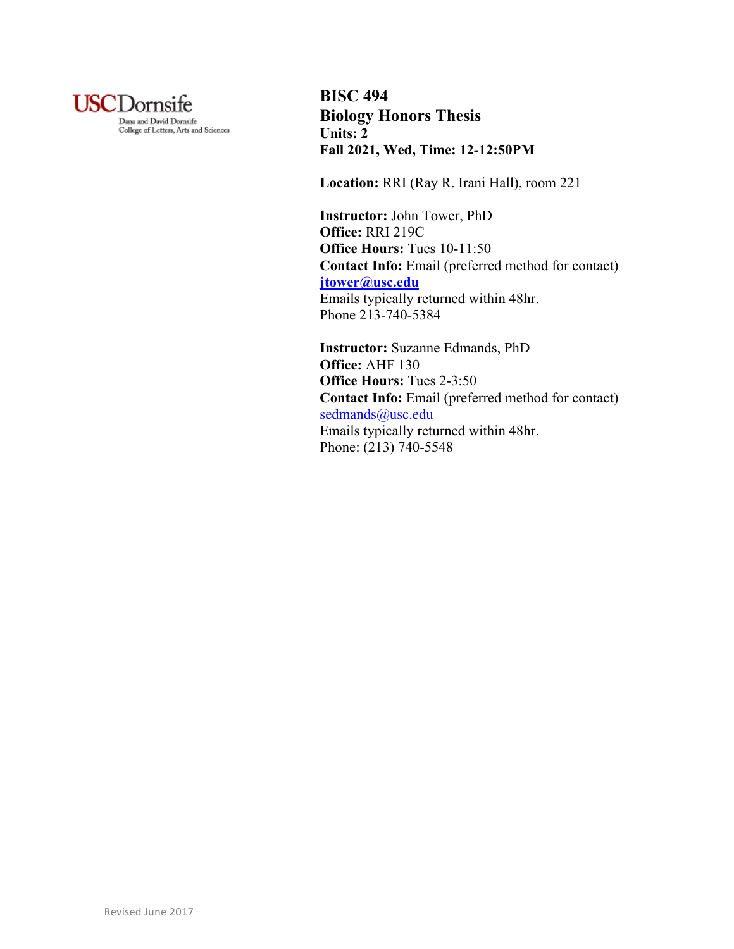

**BISC 494 Biology Honors Thesis Units: 2 Fall 2021, Wed, Time: 12-12:50PM**

**Location:** RRI (Ray R. Irani Hall), room 221

**Instructor:** John Tower, PhD **Office:** RRI 219C **Office Hours:** Tues 10-11:50 **Contact Info:** Email (preferred method for contact) **jtower@usc.edu** Emails typically returned within 48hr. Phone 213-740-5384

**Instructor:** Suzanne Edmands, PhD **Office:** AHF 130 **Office Hours:** Tues 2-3:50 **Contact Info:** Email (preferred method for contact) sedmands@usc.edu Emails typically returned within 48hr. Phone: (213) 740-5548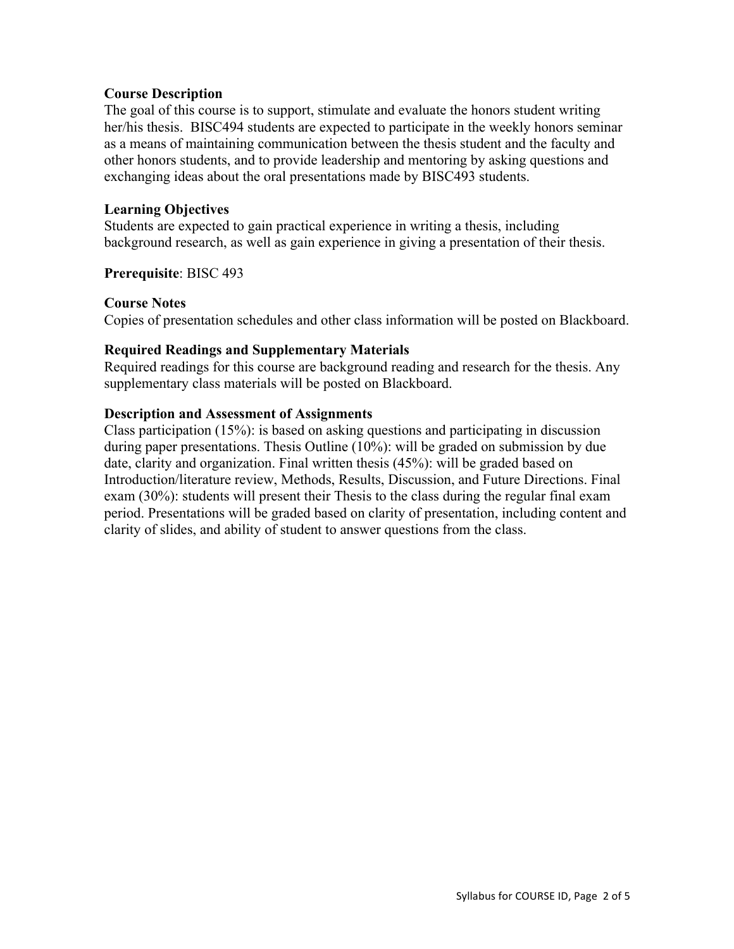#### **Course Description**

The goal of this course is to support, stimulate and evaluate the honors student writing her/his thesis. BISC494 students are expected to participate in the weekly honors seminar as a means of maintaining communication between the thesis student and the faculty and other honors students, and to provide leadership and mentoring by asking questions and exchanging ideas about the oral presentations made by BISC493 students.

## **Learning Objectives**

Students are expected to gain practical experience in writing a thesis, including background research, as well as gain experience in giving a presentation of their thesis.

**Prerequisite**: BISC 493

#### **Course Notes**

Copies of presentation schedules and other class information will be posted on Blackboard.

## **Required Readings and Supplementary Materials**

Required readings for this course are background reading and research for the thesis. Any supplementary class materials will be posted on Blackboard.

#### **Description and Assessment of Assignments**

Class participation (15%): is based on asking questions and participating in discussion during paper presentations. Thesis Outline (10%): will be graded on submission by due date, clarity and organization. Final written thesis (45%): will be graded based on Introduction/literature review, Methods, Results, Discussion, and Future Directions. Final exam (30%): students will present their Thesis to the class during the regular final exam period. Presentations will be graded based on clarity of presentation, including content and clarity of slides, and ability of student to answer questions from the class.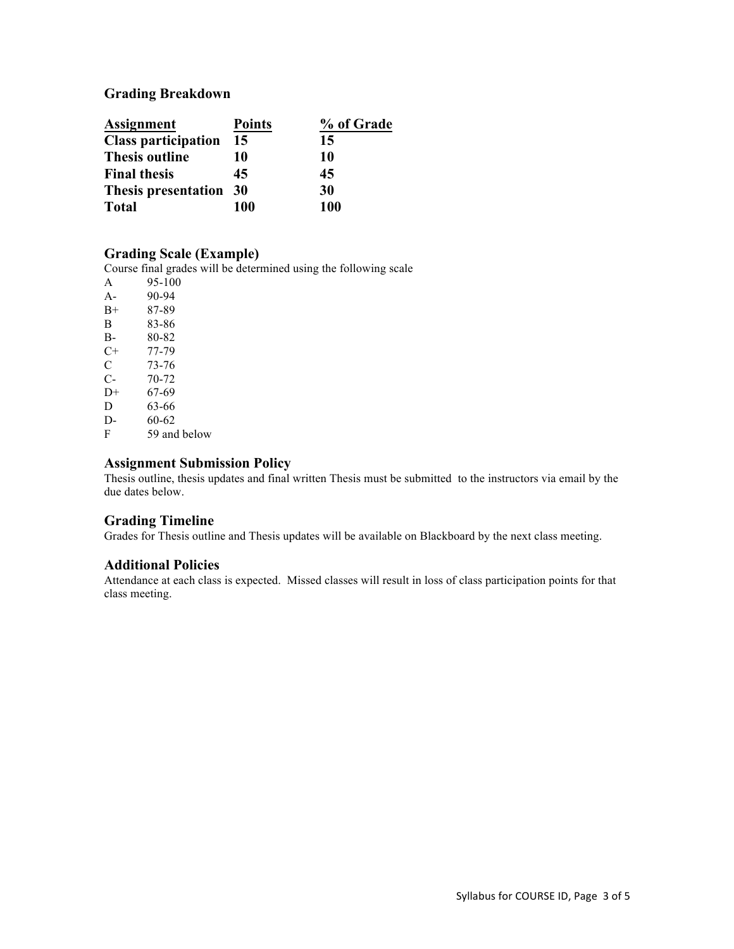## **Grading Breakdown**

| <b>Assignment</b>          | <b>Points</b> | % of Grade |
|----------------------------|---------------|------------|
| <b>Class participation</b> | 15            | 15         |
| <b>Thesis outline</b>      | 10            | 10         |
| <b>Final thesis</b>        | 45            | 45         |
| Thesis presentation 30     |               | 30         |
| <b>Total</b>               | 100           | 100        |

#### **Grading Scale (Example)**

Course final grades will be determined using the following scale

A 95-100<br>A- 90-94 90-94 B+ 87-89 B 83-86<br>B- 80-82 80-82  $C+ 77-79$ <br>C 73-76 C  $73-76$ <br>C-  $70-72$ C- 70-72  $D+ 67-69$ D 63-66 D- 60-62 F 59 and below

#### **Assignment Submission Policy**

Thesis outline, thesis updates and final written Thesis must be submitted to the instructors via email by the due dates below.

## **Grading Timeline**

Grades for Thesis outline and Thesis updates will be available on Blackboard by the next class meeting.

#### **Additional Policies**

Attendance at each class is expected. Missed classes will result in loss of class participation points for that class meeting.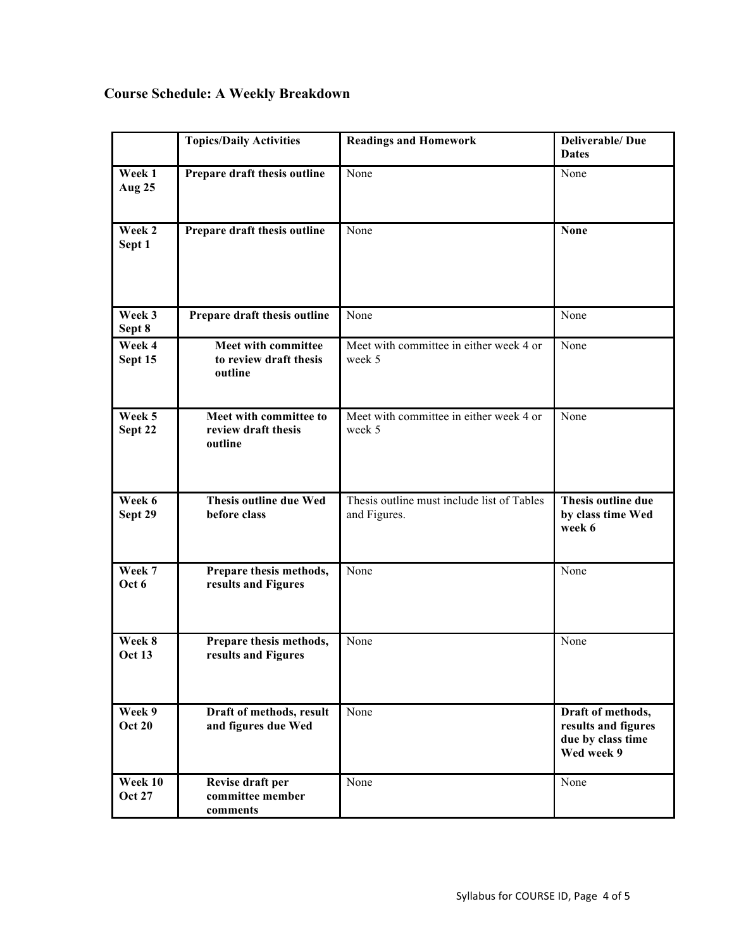# **Course Schedule: A Weekly Breakdown**

|                          | <b>Topics/Daily Activities</b>                           | <b>Readings and Homework</b>                               | <b>Deliverable/Due</b><br><b>Dates</b>                                      |
|--------------------------|----------------------------------------------------------|------------------------------------------------------------|-----------------------------------------------------------------------------|
| Week 1<br>Aug 25         | Prepare draft thesis outline                             | None                                                       | None                                                                        |
| Week 2<br>Sept 1         | Prepare draft thesis outline                             | None                                                       | <b>None</b>                                                                 |
| Week 3<br>Sept 8         | Prepare draft thesis outline                             | None                                                       | None                                                                        |
| Week 4<br>Sept 15        | Meet with committee<br>to review draft thesis<br>outline | Meet with committee in either week 4 or<br>week 5          | None                                                                        |
| Week 5<br>Sept 22        | Meet with committee to<br>review draft thesis<br>outline | Meet with committee in either week 4 or<br>week 5          | None                                                                        |
| Week 6<br>Sept 29        | <b>Thesis outline due Wed</b><br>before class            | Thesis outline must include list of Tables<br>and Figures. | Thesis outline due<br>by class time Wed<br>week 6                           |
| Week 7<br>Oct 6          | Prepare thesis methods,<br>results and Figures           | None                                                       | None                                                                        |
| Week 8<br><b>Oct 13</b>  | Prepare thesis methods,<br>results and Figures           | None                                                       | None                                                                        |
| Week 9<br><b>Oct 20</b>  | Draft of methods, result<br>and figures due Wed          | None                                                       | Draft of methods,<br>results and figures<br>due by class time<br>Wed week 9 |
| Week 10<br><b>Oct 27</b> | Revise draft per<br>committee member<br>comments         | None                                                       | None                                                                        |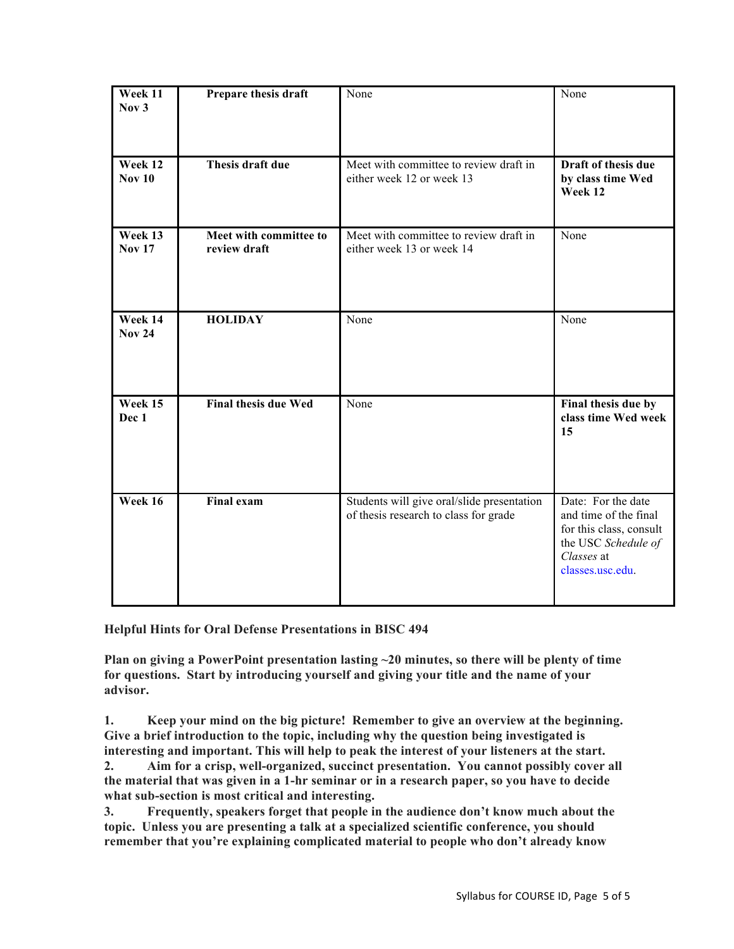| Week 11<br>Nov <sub>3</sub> | Prepare thesis draft                   | None                                                                                | None                                                                                                                            |
|-----------------------------|----------------------------------------|-------------------------------------------------------------------------------------|---------------------------------------------------------------------------------------------------------------------------------|
| Week 12<br><b>Nov 10</b>    | Thesis draft due                       | Meet with committee to review draft in<br>either week 12 or week 13                 | Draft of thesis due<br>by class time Wed<br>Week 12                                                                             |
| Week 13<br><b>Nov 17</b>    | Meet with committee to<br>review draft | Meet with committee to review draft in<br>either week 13 or week 14                 | None                                                                                                                            |
| Week 14<br><b>Nov 24</b>    | <b>HOLIDAY</b>                         | None                                                                                | None                                                                                                                            |
| Week 15<br>Dec 1            | <b>Final thesis due Wed</b>            | None                                                                                | Final thesis due by<br>class time Wed week<br>15                                                                                |
| Week 16                     | <b>Final exam</b>                      | Students will give oral/slide presentation<br>of thesis research to class for grade | Date: For the date<br>and time of the final<br>for this class, consult<br>the USC Schedule of<br>Classes at<br>classes.usc.edu. |

**Helpful Hints for Oral Defense Presentations in BISC 494**

**Plan on giving a PowerPoint presentation lasting ~20 minutes, so there will be plenty of time for questions. Start by introducing yourself and giving your title and the name of your advisor.**

**1. Keep your mind on the big picture! Remember to give an overview at the beginning. Give a brief introduction to the topic, including why the question being investigated is interesting and important. This will help to peak the interest of your listeners at the start.**

**2. Aim for a crisp, well-organized, succinct presentation. You cannot possibly cover all the material that was given in a 1-hr seminar or in a research paper, so you have to decide what sub-section is most critical and interesting.** 

**3. Frequently, speakers forget that people in the audience don't know much about the topic. Unless you are presenting a talk at a specialized scientific conference, you should remember that you're explaining complicated material to people who don't already know**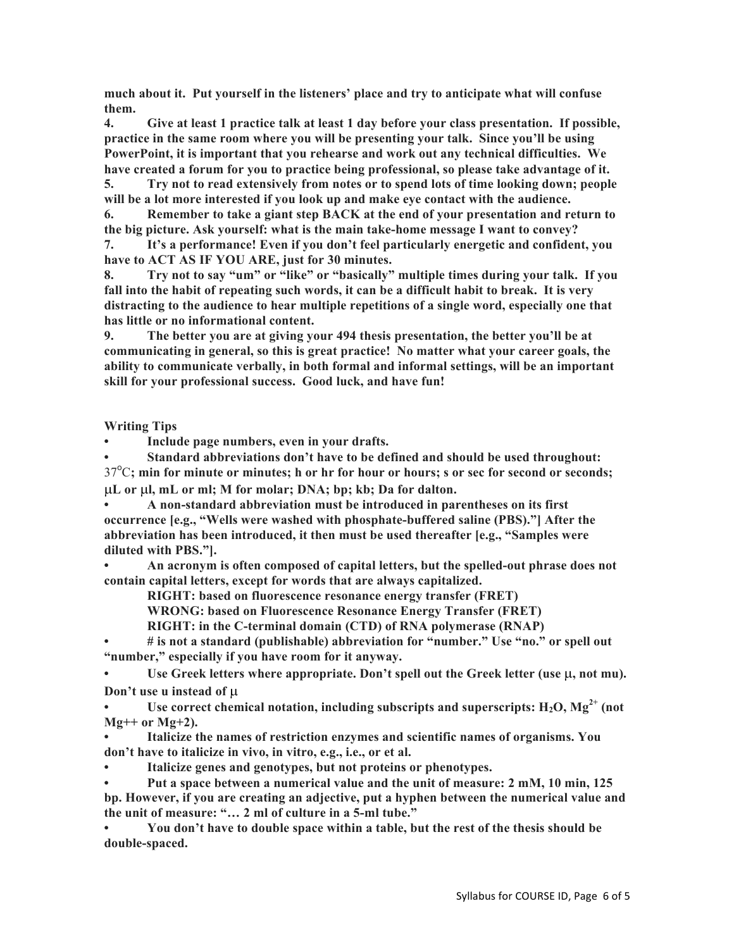**much about it. Put yourself in the listeners' place and try to anticipate what will confuse them.** 

**4. Give at least 1 practice talk at least 1 day before your class presentation. If possible, practice in the same room where you will be presenting your talk. Since you'll be using PowerPoint, it is important that you rehearse and work out any technical difficulties. We have created a forum for you to practice being professional, so please take advantage of it.**

**5. Try not to read extensively from notes or to spend lots of time looking down; people will be a lot more interested if you look up and make eye contact with the audience.**

**6. Remember to take a giant step BACK at the end of your presentation and return to the big picture. Ask yourself: what is the main take-home message I want to convey?** 

**7. It's a performance! Even if you don't feel particularly energetic and confident, you have to ACT AS IF YOU ARE, just for 30 minutes.**

**8. Try not to say "um" or "like" or "basically" multiple times during your talk. If you fall into the habit of repeating such words, it can be a difficult habit to break. It is very distracting to the audience to hear multiple repetitions of a single word, especially one that has little or no informational content.** 

**9. The better you are at giving your 494 thesis presentation, the better you'll be at communicating in general, so this is great practice! No matter what your career goals, the ability to communicate verbally, in both formal and informal settings, will be an important skill for your professional success. Good luck, and have fun!**

**Writing Tips**

**• Include page numbers, even in your drafts.**

**• Standard abbreviations don't have to be defined and should be used throughout:**  37<sup>o</sup>C; min for minute or minutes; h or hr for hour or hours; s or sec for second or seconds; µ**L or** µ**l, mL or ml; M for molar; DNA; bp; kb; Da for dalton.**

**• A non-standard abbreviation must be introduced in parentheses on its first occurrence [e.g., "Wells were washed with phosphate-buffered saline (PBS)."] After the abbreviation has been introduced, it then must be used thereafter [e.g., "Samples were diluted with PBS."].**

**• An acronym is often composed of capital letters, but the spelled-out phrase does not contain capital letters, except for words that are always capitalized.**

**RIGHT: based on fluorescence resonance energy transfer (FRET)**

**WRONG: based on Fluorescence Resonance Energy Transfer (FRET)**

**RIGHT: in the C-terminal domain (CTD) of RNA polymerase (RNAP)** 

**• # is not a standard (publishable) abbreviation for "number." Use "no." or spell out "number," especially if you have room for it anyway.**

Use Greek letters where appropriate. Don't spell out the Greek letter (use  $\mu$ , not mu). **Don't use u instead of** µ

Use correct chemical notation, including subscripts and superscripts:  $H_2O$ ,  $Mg^{2+}$  (not **Mg++ or Mg+2).**

**• Italicize the names of restriction enzymes and scientific names of organisms. You don't have to italicize in vivo, in vitro, e.g., i.e., or et al.**

**• Italicize genes and genotypes, but not proteins or phenotypes.**

**• Put a space between a numerical value and the unit of measure: 2 mM, 10 min, 125** 

**bp. However, if you are creating an adjective, put a hyphen between the numerical value and the unit of measure: "… 2 ml of culture in a 5-ml tube."**

**• You don't have to double space within a table, but the rest of the thesis should be double-spaced.**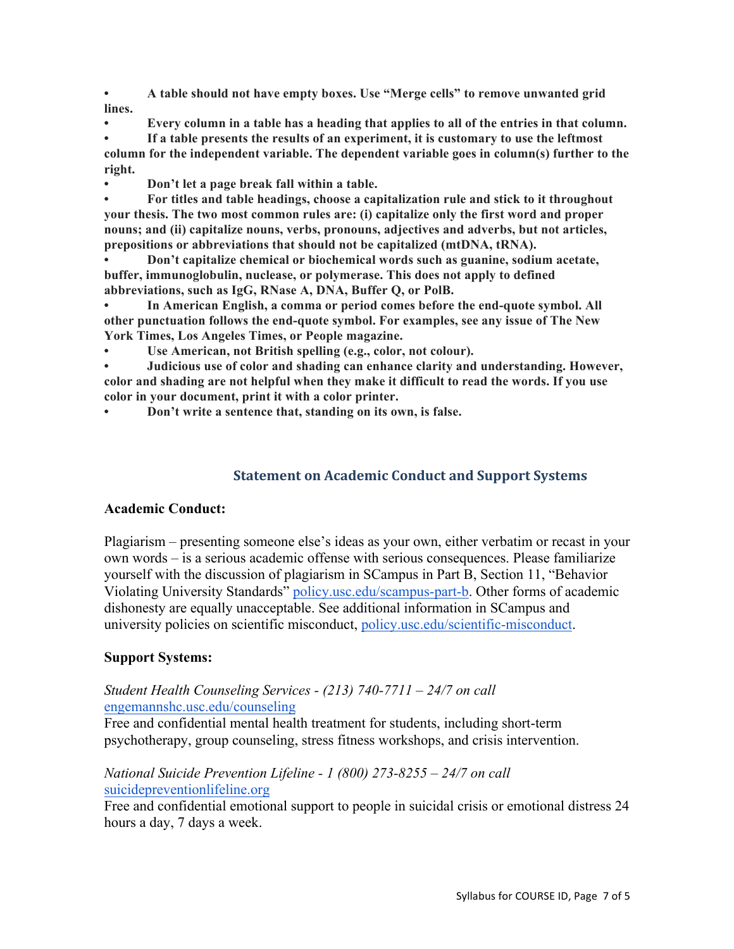**• A table should not have empty boxes. Use "Merge cells" to remove unwanted grid lines.**

**• Every column in a table has a heading that applies to all of the entries in that column.**

**• If a table presents the results of an experiment, it is customary to use the leftmost column for the independent variable. The dependent variable goes in column(s) further to the right.**

**• Don't let a page break fall within a table.**

**• For titles and table headings, choose a capitalization rule and stick to it throughout your thesis. The two most common rules are: (i) capitalize only the first word and proper nouns; and (ii) capitalize nouns, verbs, pronouns, adjectives and adverbs, but not articles, prepositions or abbreviations that should not be capitalized (mtDNA, tRNA).** 

**• Don't capitalize chemical or biochemical words such as guanine, sodium acetate, buffer, immunoglobulin, nuclease, or polymerase. This does not apply to defined abbreviations, such as IgG, RNase A, DNA, Buffer Q, or PolB.**

**• In American English, a comma or period comes before the end-quote symbol. All other punctuation follows the end-quote symbol. For examples, see any issue of The New York Times, Los Angeles Times, or People magazine.**

**• Use American, not British spelling (e.g., color, not colour).**

**• Judicious use of color and shading can enhance clarity and understanding. However, color and shading are not helpful when they make it difficult to read the words. If you use color in your document, print it with a color printer.**

**• Don't write a sentence that, standing on its own, is false.**

## **Statement on Academic Conduct and Support Systems**

## **Academic Conduct:**

Plagiarism – presenting someone else's ideas as your own, either verbatim or recast in your own words – is a serious academic offense with serious consequences. Please familiarize yourself with the discussion of plagiarism in SCampus in Part B, Section 11, "Behavior Violating University Standards" policy.usc.edu/scampus-part-b. Other forms of academic dishonesty are equally unacceptable. See additional information in SCampus and university policies on scientific misconduct, policy.usc.edu/scientific-misconduct.

## **Support Systems:**

#### *Student Health Counseling Services - (213) 740-7711 – 24/7 on call* engemannshc.usc.edu/counseling

Free and confidential mental health treatment for students, including short-term psychotherapy, group counseling, stress fitness workshops, and crisis intervention.

## *National Suicide Prevention Lifeline - 1 (800) 273-8255 – 24/7 on call* suicidepreventionlifeline.org

Free and confidential emotional support to people in suicidal crisis or emotional distress 24 hours a day, 7 days a week.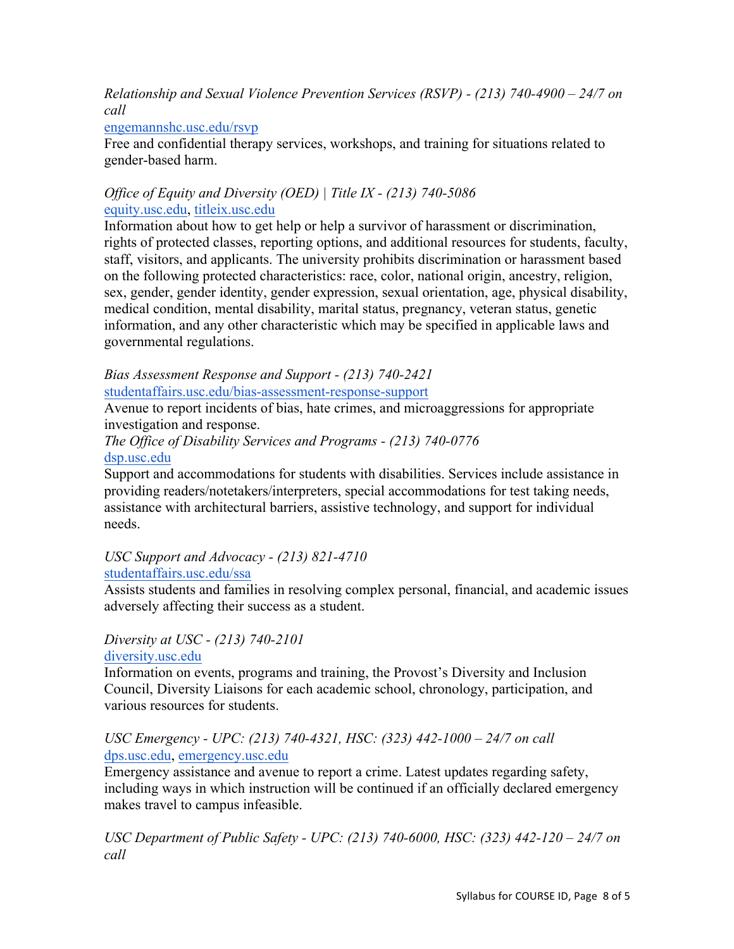*Relationship and Sexual Violence Prevention Services (RSVP) - (213) 740-4900 – 24/7 on call*

## engemannshc.usc.edu/rsvp

Free and confidential therapy services, workshops, and training for situations related to gender-based harm.

## *Office of Equity and Diversity (OED) | Title IX - (213) 740-5086* equity.usc.edu, titleix.usc.edu

Information about how to get help or help a survivor of harassment or discrimination, rights of protected classes, reporting options, and additional resources for students, faculty, staff, visitors, and applicants. The university prohibits discrimination or harassment based on the following protected characteristics: race, color, national origin, ancestry, religion, sex, gender, gender identity, gender expression, sexual orientation, age, physical disability, medical condition, mental disability, marital status, pregnancy, veteran status, genetic information, and any other characteristic which may be specified in applicable laws and governmental regulations.

## *Bias Assessment Response and Support - (213) 740-2421*

studentaffairs.usc.edu/bias-assessment-response-support

Avenue to report incidents of bias, hate crimes, and microaggressions for appropriate investigation and response.

# *The Office of Disability Services and Programs - (213) 740-0776*

dsp.usc.edu

Support and accommodations for students with disabilities. Services include assistance in providing readers/notetakers/interpreters, special accommodations for test taking needs, assistance with architectural barriers, assistive technology, and support for individual needs.

# *USC Support and Advocacy - (213) 821-4710*

## studentaffairs.usc.edu/ssa

Assists students and families in resolving complex personal, financial, and academic issues adversely affecting their success as a student.

*Diversity at USC - (213) 740-2101* diversity.usc.edu

Information on events, programs and training, the Provost's Diversity and Inclusion Council, Diversity Liaisons for each academic school, chronology, participation, and various resources for students.

## *USC Emergency - UPC: (213) 740-4321, HSC: (323) 442-1000 – 24/7 on call*  dps.usc.edu, emergency.usc.edu

Emergency assistance and avenue to report a crime. Latest updates regarding safety, including ways in which instruction will be continued if an officially declared emergency makes travel to campus infeasible.

*USC Department of Public Safety - UPC: (213) 740-6000, HSC: (323) 442-120 – 24/7 on call*